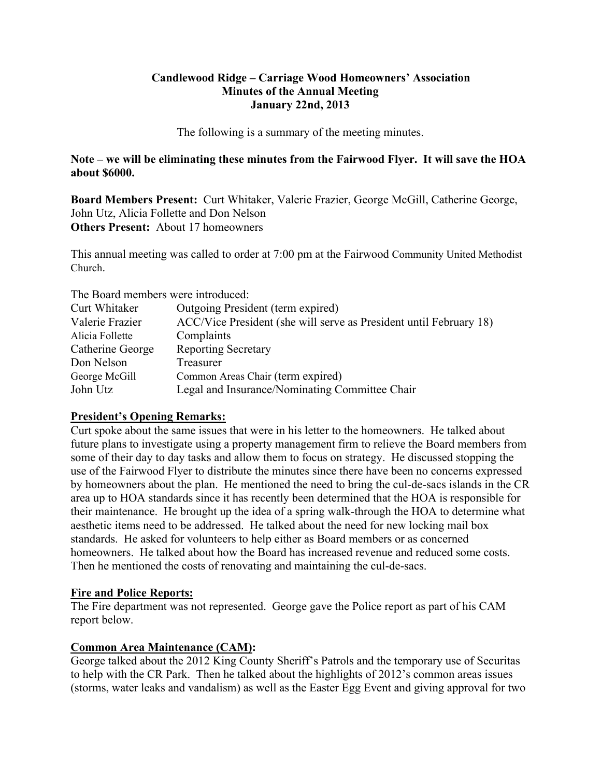### **Candlewood Ridge – Carriage Wood Homeowners' Association Minutes of the Annual Meeting January 22nd, 2013**

The following is a summary of the meeting minutes.

**Note – we will be eliminating these minutes from the Fairwood Flyer. It will save the HOA about \$6000.** 

**Board Members Present:** Curt Whitaker, Valerie Frazier, George McGill, Catherine George, John Utz, Alicia Follette and Don Nelson **Others Present:** About 17 homeowners

This annual meeting was called to order at 7:00 pm at the Fairwood Community United Methodist Church.

The Board members were introduced:

| Curt Whitaker    | Outgoing President (term expired)                                  |
|------------------|--------------------------------------------------------------------|
| Valerie Frazier  | ACC/Vice President (she will serve as President until February 18) |
| Alicia Follette  | Complaints                                                         |
| Catherine George | <b>Reporting Secretary</b>                                         |
| Don Nelson       | Treasurer                                                          |
| George McGill    | Common Areas Chair (term expired)                                  |
| John Utz         | Legal and Insurance/Nominating Committee Chair                     |

## **President's Opening Remarks:**

Curt spoke about the same issues that were in his letter to the homeowners. He talked about future plans to investigate using a property management firm to relieve the Board members from some of their day to day tasks and allow them to focus on strategy. He discussed stopping the use of the Fairwood Flyer to distribute the minutes since there have been no concerns expressed by homeowners about the plan. He mentioned the need to bring the cul-de-sacs islands in the CR area up to HOA standards since it has recently been determined that the HOA is responsible for their maintenance. He brought up the idea of a spring walk-through the HOA to determine what aesthetic items need to be addressed. He talked about the need for new locking mail box standards. He asked for volunteers to help either as Board members or as concerned homeowners. He talked about how the Board has increased revenue and reduced some costs. Then he mentioned the costs of renovating and maintaining the cul-de-sacs.

## **Fire and Police Reports:**

The Fire department was not represented. George gave the Police report as part of his CAM report below.

## **Common Area Maintenance (CAM):**

George talked about the 2012 King County Sheriff's Patrols and the temporary use of Securitas to help with the CR Park. Then he talked about the highlights of 2012's common areas issues (storms, water leaks and vandalism) as well as the Easter Egg Event and giving approval for two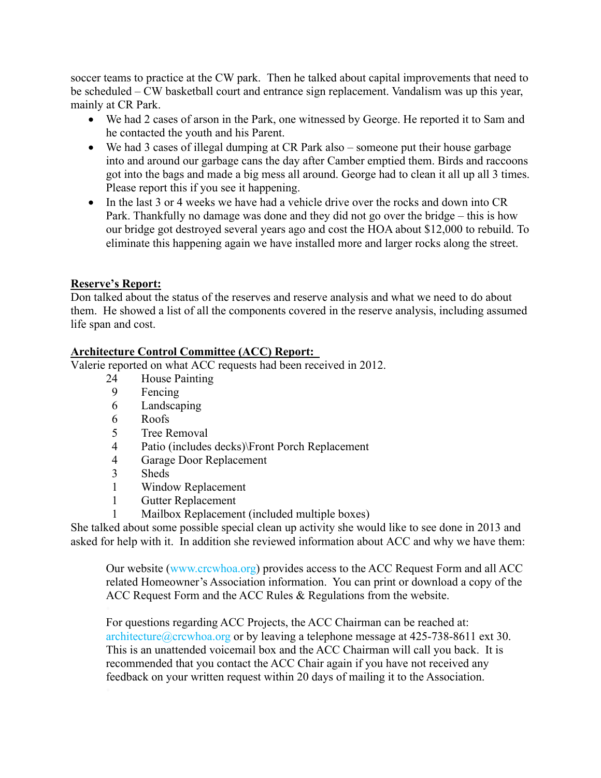soccer teams to practice at the CW park. Then he talked about capital improvements that need to be scheduled – CW basketball court and entrance sign replacement. Vandalism was up this year, mainly at CR Park.

- We had 2 cases of arson in the Park, one witnessed by George. He reported it to Sam and he contacted the youth and his Parent.
- We had 3 cases of illegal dumping at CR Park also someone put their house garbage into and around our garbage cans the day after Camber emptied them. Birds and raccoons got into the bags and made a big mess all around. George had to clean it all up all 3 times. Please report this if you see it happening.
- In the last 3 or 4 weeks we have had a vehicle drive over the rocks and down into CR Park. Thankfully no damage was done and they did not go over the bridge – this is how our bridge got destroyed several years ago and cost the HOA about \$12,000 to rebuild. To eliminate this happening again we have installed more and larger rocks along the street.

## **Reserve's Report:**

Don talked about the status of the reserves and reserve analysis and what we need to do about them. He showed a list of all the components covered in the reserve analysis, including assumed life span and cost.

## **Architecture Control Committee (ACC) Report:**

Valerie reported on what ACC requests had been received in 2012.

- 24 House Painting
- 9 Fencing
- 6 Landscaping
- 6 Roofs
- 5 Tree Removal
- 4 Patio (includes decks)\Front Porch Replacement
- 4 Garage Door Replacement
- 3 Sheds
- 1 Window Replacement
- 1 Gutter Replacement
- Mailbox Replacement (included multiple boxes)

She talked about some possible special clean up activity she would like to see done in 2013 and asked for help with it. In addition she reviewed information about ACC and why we have them:

Our website (www.crcwhoa.org) provides access to the ACC Request Form and all ACC related Homeowner's Association information. You can print or download a copy of the ACC Request Form and the ACC Rules & Regulations from the website.

For questions regarding ACC Projects, the ACC Chairman can be reached at: architecture@crcwhoa.org or by leaving a telephone message at 425-738-8611 ext 30. This is an unattended voicemail box and the ACC Chairman will call you back. It is recommended that you contact the ACC Chair again if you have not received any feedback on your written request within 20 days of mailing it to the Association.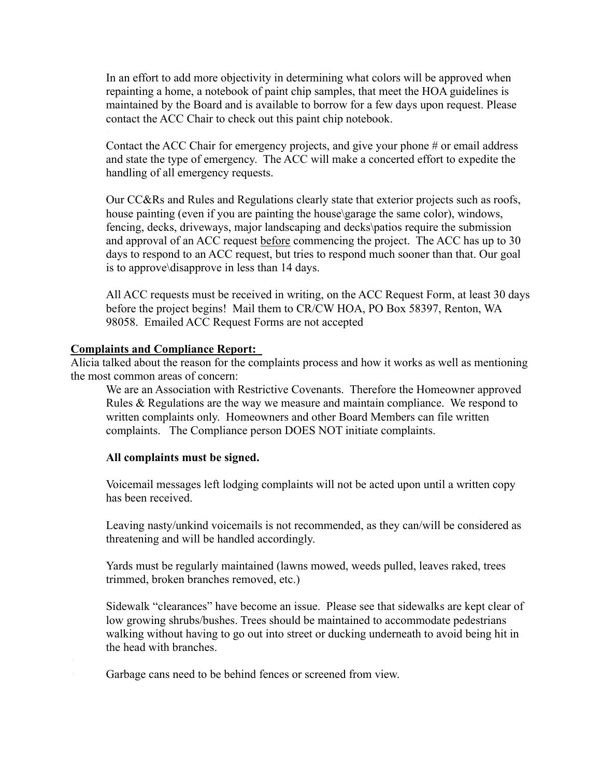In an effort to add more objectivity in determining what colors will be approved when repainting a home, a notebook of paint chip samples, that meet the HOA guidelines is maintained by the Board and is available to borrow for a few days upon request. Please contact the ACC Chair to check out this paint chip notebook.

Contact the ACC Chair for emergency projects, and give your phone # or email address and state the type of emergency. The ACC will make a concerted effort to expedite the handling of all emergency requests.

Our CC&Rs and Rules and Regulations clearly state that exterior projects such as roofs, house painting (even if you are painting the house\garage the same color), windows, fencing, decks, driveways, major landscaping and decks\patios require the submission and approval of an ACC request before commencing the project. The ACC has up to 30 days to respond to an ACC request, but tries to respond much sooner than that. Our goal is to approve\disapprove in less than 14 days.

All ACC requests must be received in writing, on the ACC Request Form, at least 30 days before the project begins! Mail them to CR/CW HOA, PO Box 58397, Renton, WA 98058. Emailed ACC Request Forms are not accepted

#### **Complaints and Compliance Report:**

Alicia talked about the reason for the complaints process and how it works as well as mentioning the most common areas of concern:

We are an Association with Restrictive Covenants. Therefore the Homeowner approved Rules & Regulations are the way we measure and maintain compliance. We respond to written complaints only. Homeowners and other Board Members can file written complaints. The Compliance person DOES NOT initiate complaints.

#### **All complaints must be signed.**

Voicemail messages left lodging complaints will not be acted upon until a written copy has been received.

Leaving nasty/unkind voicemails is not recommended, as they can/will be considered as threatening and will be handled accordingly.

Yards must be regularly maintained (lawns mowed, weeds pulled, leaves raked, trees trimmed, broken branches removed, etc.)

Sidewalk "clearances" have become an issue. Please see that sidewalks are kept clear of low growing shrubs/bushes. Trees should be maintained to accommodate pedestrians walking without having to go out into street or ducking underneath to avoid being hit in the head with branches.

Garbage cans need to be behind fences or screened from view.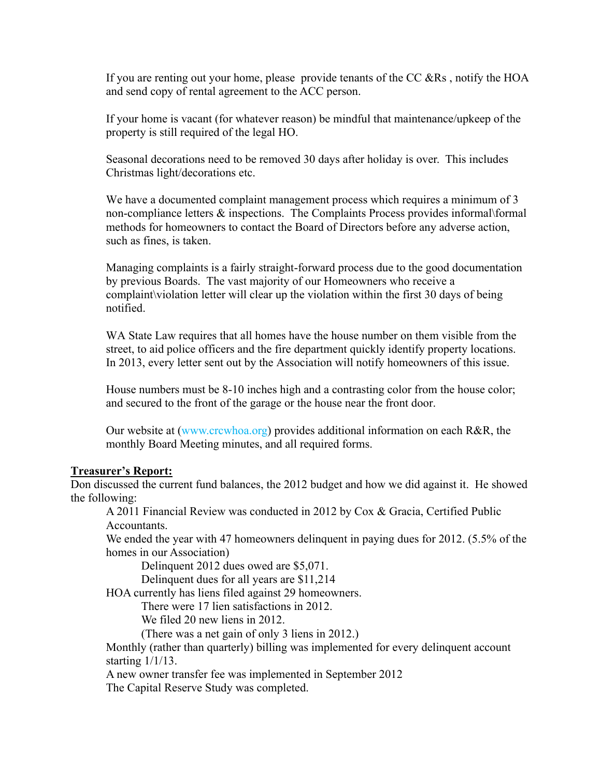If you are renting out your home, please provide tenants of the CC  $\&\text{Rs}$ , notify the HOA and send copy of rental agreement to the ACC person.

If your home is vacant (for whatever reason) be mindful that maintenance/upkeep of the property is still required of the legal HO.

Seasonal decorations need to be removed 30 days after holiday is over. This includes Christmas light/decorations etc.

We have a documented complaint management process which requires a minimum of 3 non-compliance letters & inspections. The Complaints Process provides informal\formal methods for homeowners to contact the Board of Directors before any adverse action, such as fines, is taken.

Managing complaints is a fairly straight-forward process due to the good documentation by previous Boards. The vast majority of our Homeowners who receive a complaint\violation letter will clear up the violation within the first 30 days of being notified.

WA State Law requires that all homes have the house number on them visible from the street, to aid police officers and the fire department quickly identify property locations. In 2013, every letter sent out by the Association will notify homeowners of this issue.

House numbers must be 8-10 inches high and a contrasting color from the house color; and secured to the front of the garage or the house near the front door.

Our website at (www.crcwhoa.org) provides additional information on each R&R, the monthly Board Meeting minutes, and all required forms.

### **Treasurer's Report:**

Don discussed the current fund balances, the 2012 budget and how we did against it. He showed the following:

A 2011 Financial Review was conducted in 2012 by Cox & Gracia, Certified Public Accountants.

We ended the year with 47 homeowners delinguent in paying dues for 2012. (5.5% of the homes in our Association)

Delinquent 2012 dues owed are \$5,071.

Delinquent dues for all years are \$11,214

HOA currently has liens filed against 29 homeowners.

There were 17 lien satisfactions in 2012.

We filed 20 new liens in 2012.

(There was a net gain of only 3 liens in 2012.)

Monthly (rather than quarterly) billing was implemented for every delinquent account starting 1/1/13.

A new owner transfer fee was implemented in September 2012

The Capital Reserve Study was completed.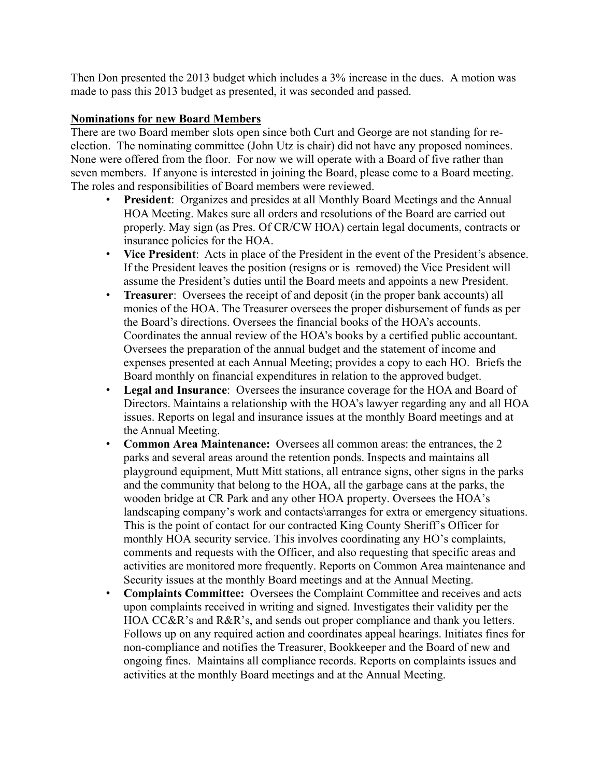Then Don presented the 2013 budget which includes a 3% increase in the dues. A motion was made to pass this 2013 budget as presented, it was seconded and passed.

### **Nominations for new Board Members**

There are two Board member slots open since both Curt and George are not standing for reelection. The nominating committee (John Utz is chair) did not have any proposed nominees. None were offered from the floor. For now we will operate with a Board of five rather than seven members. If anyone is interested in joining the Board, please come to a Board meeting. The roles and responsibilities of Board members were reviewed.

- **President**: Organizes and presides at all Monthly Board Meetings and the Annual HOA Meeting. Makes sure all orders and resolutions of the Board are carried out properly. May sign (as Pres. Of CR/CW HOA) certain legal documents, contracts or insurance policies for the HOA.
- **Vice President**: Acts in place of the President in the event of the President's absence. If the President leaves the position (resigns or is removed) the Vice President will assume the President's duties until the Board meets and appoints a new President.
- **Treasurer**: Oversees the receipt of and deposit (in the proper bank accounts) all monies of the HOA. The Treasurer oversees the proper disbursement of funds as per the Board's directions. Oversees the financial books of the HOA's accounts. Coordinates the annual review of the HOA's books by a certified public accountant. Oversees the preparation of the annual budget and the statement of income and expenses presented at each Annual Meeting; provides a copy to each HO. Briefs the Board monthly on financial expenditures in relation to the approved budget.
- **Legal and Insurance**: Oversees the insurance coverage for the HOA and Board of Directors. Maintains a relationship with the HOA's lawyer regarding any and all HOA issues. Reports on legal and insurance issues at the monthly Board meetings and at the Annual Meeting.
- **Common Area Maintenance:** Oversees all common areas: the entrances, the 2 parks and several areas around the retention ponds. Inspects and maintains all playground equipment, Mutt Mitt stations, all entrance signs, other signs in the parks and the community that belong to the HOA, all the garbage cans at the parks, the wooden bridge at CR Park and any other HOA property. Oversees the HOA's landscaping company's work and contacts\arranges for extra or emergency situations. This is the point of contact for our contracted King County Sheriff's Officer for monthly HOA security service. This involves coordinating any HO's complaints, comments and requests with the Officer, and also requesting that specific areas and activities are monitored more frequently. Reports on Common Area maintenance and Security issues at the monthly Board meetings and at the Annual Meeting.
- **Complaints Committee:** Oversees the Complaint Committee and receives and acts upon complaints received in writing and signed. Investigates their validity per the HOA CC&R's and R&R's, and sends out proper compliance and thank you letters. Follows up on any required action and coordinates appeal hearings. Initiates fines for non-compliance and notifies the Treasurer, Bookkeeper and the Board of new and ongoing fines. Maintains all compliance records. Reports on complaints issues and activities at the monthly Board meetings and at the Annual Meeting.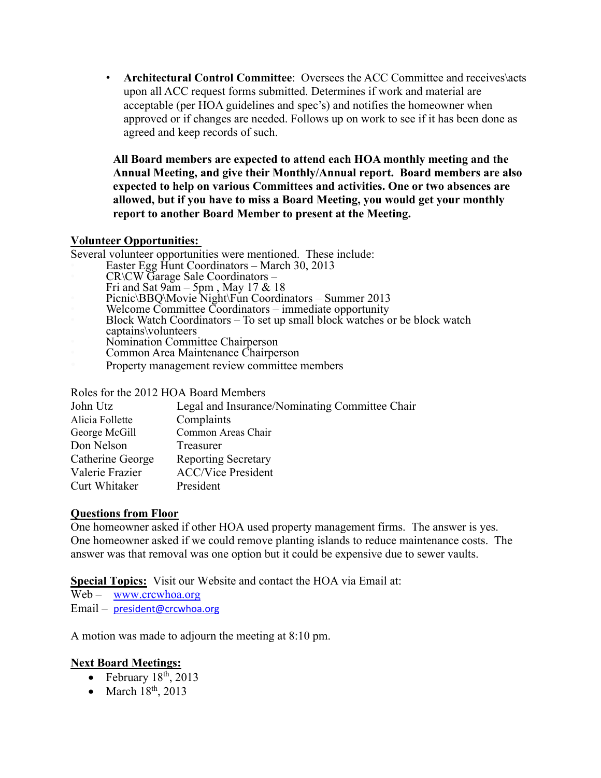• **Architectural Control Committee**: Oversees the ACC Committee and receives\acts upon all ACC request forms submitted. Determines if work and material are acceptable (per HOA guidelines and spec's) and notifies the homeowner when approved or if changes are needed. Follows up on work to see if it has been done as agreed and keep records of such.

**All Board members are expected to attend each HOA monthly meeting and the Annual Meeting, and give their Monthly/Annual report. Board members are also expected to help on various Committees and activities. One or two absences are allowed, but if you have to miss a Board Meeting, you would get your monthly report to another Board Member to present at the Meeting.**

### **Volunteer Opportunities:**

Several volunteer opportunities were mentioned. These include:

- Easter Egg Hunt Coordinators March 30, 2013
- CR\CW Garage Sale Coordinators –
- Fri and Sat  $9$ am 5pm, May 17 & 18
- Picnic\BBQ\Movie Night\Fun Coordinators Summer 2013
	- Welcome Committee Coordinators immediate opportunity
- Block Watch Coordinators To set up small block watches or be block watch
- captains\volunteers
- Nomination Committee Chairperson
- Common Area Maintenance Chairperson
- Property management review committee members

Roles for the 2012 HOA Board Members

| John Utz         | Legal and Insurance/Nominating Committee Chair |
|------------------|------------------------------------------------|
| Alicia Follette  | Complaints                                     |
| George McGill    | Common Areas Chair                             |
| Don Nelson       | Treasurer                                      |
| Catherine George | <b>Reporting Secretary</b>                     |
| Valerie Frazier  | <b>ACC/Vice President</b>                      |
| Curt Whitaker    | President                                      |

## **Questions from Floor**

One homeowner asked if other HOA used property management firms. The answer is yes. One homeowner asked if we could remove planting islands to reduce maintenance costs. The answer was that removal was one option but it could be expensive due to sewer vaults.

**Special Topics:** Visit our Website and contact the HOA via Email at:

Web – www.crcwhoa.org

Email – president@crcwhoa.org

A motion was made to adjourn the meeting at 8:10 pm.

## **Next Board Meetings:**

- February  $18<sup>th</sup>$ , 2013
- $\bullet$  March 18<sup>th</sup>, 2013